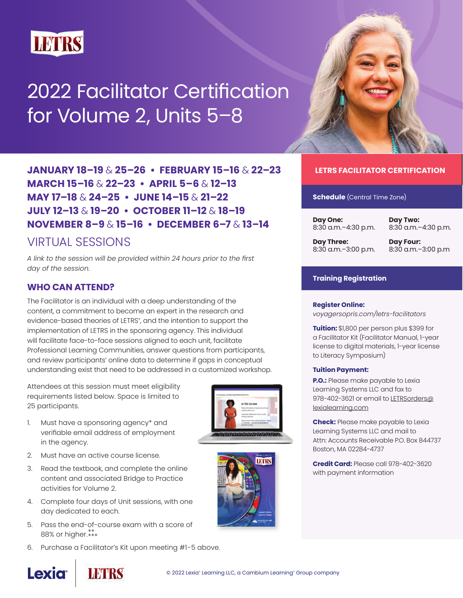

# 2022 Facilitator Certification for Volume 2, Units 5–8

**JANUARY 18–19** & **25–26 • FEBRUARY 15–16** & **22–23 MARCH 15–16** & **22–23 • APRIL 5–6** & **12–13 MAY 17–18** & **24–25 • JUNE 14–15** & **21–22 JULY 12–13** & **19–20 • OCTOBER 11–12** & **18–19 NOVEMBER 8–9** & **15–16 • DECEMBER 6–7** & **13–14** 

## VIRTUAL SESSIONS

*A link to the session will be provided within 24 hours prior to the first day of the session.*

#### **WHO CAN ATTEND?**

The Facilitator is an individual with a deep understanding of the content, a commitment to become an expert in the research and evidence-based theories of LETRS°, and the intention to support the implementation of LETRS in the sponsoring agency. This individual will facilitate face-to-face sessions aligned to each unit, facilitate Professional Learning Communities, answer questions from participants, and review participants' online data to determine if gaps in conceptual understanding exist that need to be addressed in a customized workshop.

Attendees at this session must meet eligibility requirements listed below. Space is limited to 25 participants.

- 1. Must have a sponsoring agency\* and verifiable email address of employment in the agency.
- 2. Must have an active course license.
- 3. Read the textbook, and complete the online content and associated Bridge to Practice activities for Volume 2.
- 4. Complete four days of Unit sessions, with one day dedicated to each.
- 5. Pass the end-of-course exam with a score of 88% or higher.\*\* \*\*\*
- 6. Purchase a Facilitator's Kit upon meeting #1-5 above.





#### **LETRS FACILITATOR CERTIFICATION**

**Schedule** (Central Time Zone)

**Day One:** 8:30 a.m.–4:30 p.m. **Day Three:** 

**Day Two:** 8:30 a.m.–4:30 p.m.

8:30 a.m.–3:00 p.m.

**Day Four:**  8:30 a.m.–3:00 p.m

#### **Training Registration**

#### **Register Online:**

*[voyagersopris.com/letrs-facilitators](http://www.voyagersopris.com/letrs-facilitators)*

**Tuition:** \$1,800 per person plus \$399 for a Facilitator Kit (Facilitator Manual, 1-year license to digital materials, 1-year license to Literacy Symposium)

#### **Tuition Payment:**

**P.O.:** Please make payable to Lexia Learning Systems LLC and fax to 978-402-3621 or email to [LETRSorders@](mailto:LETRSorders%40lexialearning.com?subject=) [lexialearning.com](mailto:LETRSorders%40lexialearning.com?subject=)

**Check:** Please make payable to Lexia Learning Systems LLC and mail to Attn: Accounts Receivable P.O. Box 844737 Boston, MA 02284-4737

**Credit Card:** Please call 978-402-3620 with payment information